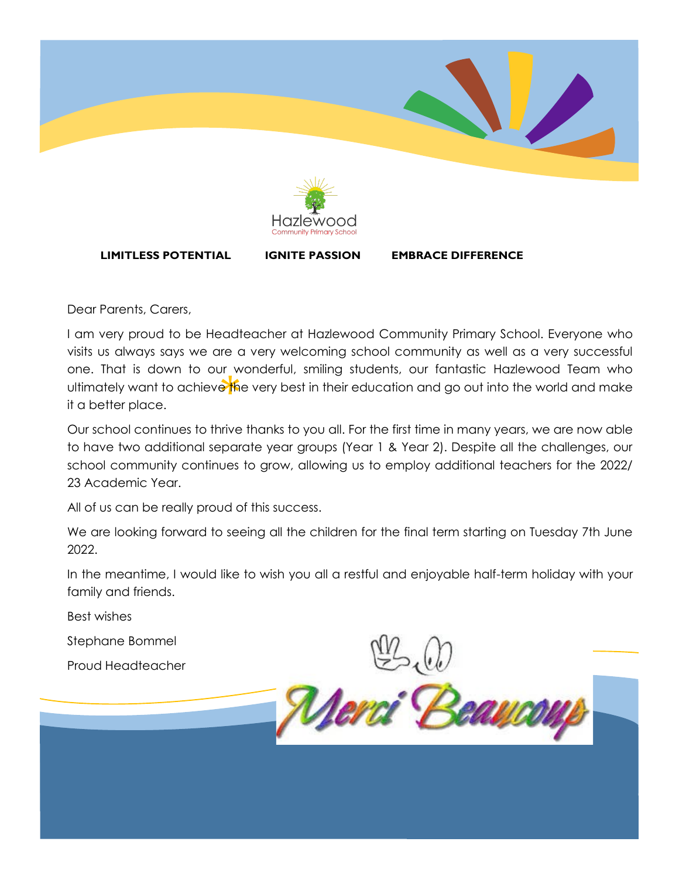

**LIMITLESS POTENTIAL IGNITE PASSION EMBRACE DIFFERENCE**

Dear Parents, Carers,

\*\*<br>e<sup>k</sup>fi I am very proud to be Headteacher at Hazlewood Community Primary School. Everyone who visits us always says we are a very welcoming school community as well as a very successful one. That is down to our wonderful, smiling students, our fantastic Hazlewood Team who ultimately want to achieve the very best in their education and go out into the world and make it a better place.

Our school continues to thrive thanks to you all. For the first time in many years, we are now able to have two additional separate year groups (Year 1 & Year 2). Despite all the challenges, our school community continues to grow, allowing us to employ additional teachers for the 2022/ 23 Academic Year.

All of us can be really proud of this success.

We are looking forward to seeing all the children for the final term starting on Tuesday 7th June 2022.

In the meantime, I would like to wish you all a restful and enjoyable half-term holiday with your family and friends.

Best wishes

Stephane Bommel

Proud Headteacher

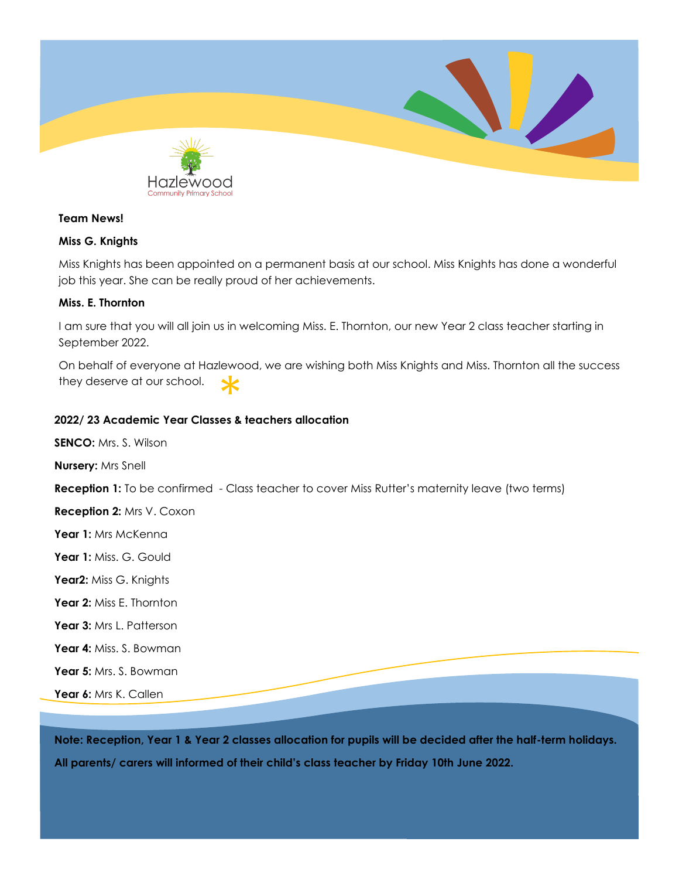

#### **Team News!**

#### **Miss G. Knights**

Miss Knights has been appointed on a permanent basis at our school. Miss Knights has done a wonderful job this year. She can be really proud of her achievements.

#### **Miss. E. Thornton**

I am sure that you will all join us in welcoming Miss. E. Thornton, our new Year 2 class teacher starting in September 2022.

**2022/ 23 Academic Year Classes & teachers allocation** On behalf of everyone at Hazlewood, we are wishing both Miss Knights and Miss. Thornton all the success they deserve at our school.

**SENCO:** Mrs. S. Wilson

**Nursery:** Mrs Snell

**Reception 1:** To be confirmed - Class teacher to cover Miss Rutter's maternity leave (two terms)

**Reception 2:** Mrs V. Coxon

**Year 1:** Mrs McKenna

**Year 1:** Miss. G. Gould

**Year2:** Miss G. Knights

- **Year 2:** Miss E. Thornton
- Year 3: Mrs L. Patterson
- **Year 4:** Miss. S. Bowman
- **Year 5:** Mrs. S. Bowman

**Year 6:** Mrs K. Callen

**Note: Reception, Year 1 & Year 2 classes allocation for pupils will be decided after the half-term holidays. All parents/ carers will informed of their child's class teacher by Friday 10th June 2022.**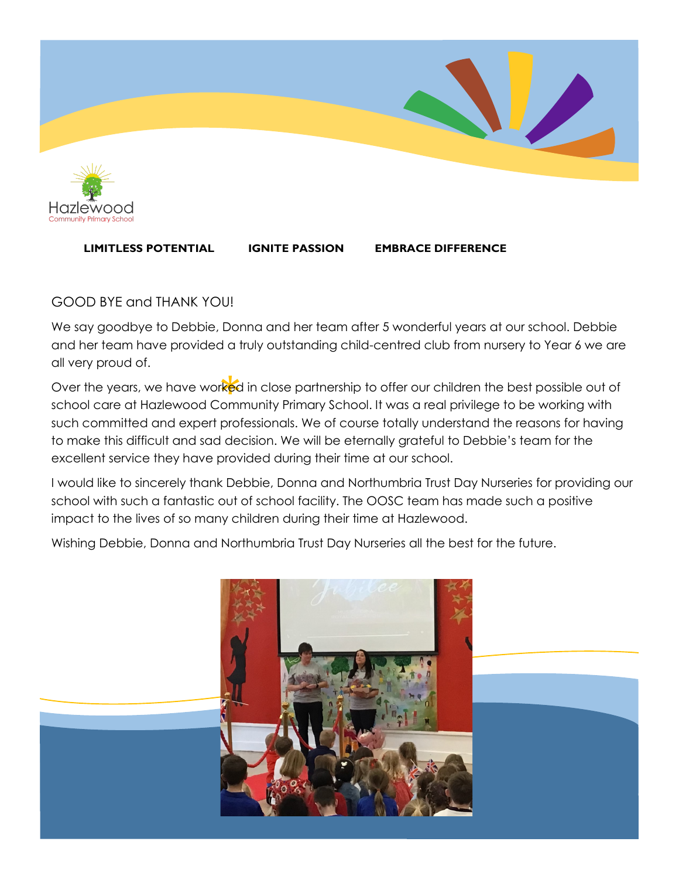

### **LIMITLESS POTENTIAL IGNITE PASSION EMBRACE DIFFERENCE**

# GOOD BYE and THANK YOU!

We say goodbye to Debbie, Donna and her team after 5 wonderful years at our school. Debbie and her team have provided a truly outstanding child-centred club from nursery to Year 6 we are all very proud of.

rkec<br>iomi Over the years, we have worked in close partnership to offer our children the best possible out of school care at Hazlewood Community Primary School. It was a real privilege to be working with such committed and expert professionals. We of course totally understand the reasons for having to make this difficult and sad decision. We will be eternally grateful to Debbie's team for the excellent service they have provided during their time at our school.

I would like to sincerely thank Debbie, Donna and Northumbria Trust Day Nurseries for providing our school with such a fantastic out of school facility. The OOSC team has made such a positive impact to the lives of so many children during their time at Hazlewood.

Wishing Debbie, Donna and Northumbria Trust Day Nurseries all the best for the future.

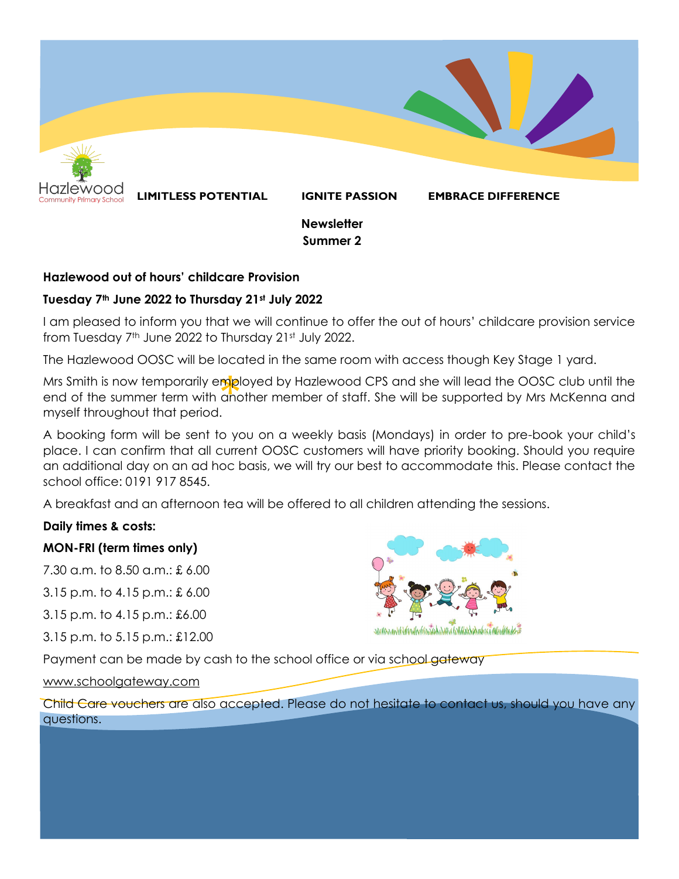

#### **Hazlewood out of hours' childcare Provision**

#### **Tuesday 7th June 2022 to Thursday 21st July 2022**

I am pleased to inform you that we will continue to offer the out of hours' childcare provision service from Tuesday 7th June 2022 to Thursday 21st July 2022.

The Hazlewood OOSC will be located in the same room with access though Key Stage 1 yard.

mpl<br>and<br>. Mrs Smith is now temporarily employed by Hazlewood CPS and she will lead the OOSC club until the end of the summer term with another member of staff. She will be supported by Mrs McKenna and myself throughout that period.

A booking form will be sent to you on a weekly basis (Mondays) in order to pre-book your child's place. I can confirm that all current OOSC customers will have priority booking. Should you require an additional day on an ad hoc basis, we will try our best to accommodate this. Please contact the school office: 0191 917 8545.

A breakfast and an afternoon tea will be offered to all children attending the sessions.

#### **Daily times & costs:**

## **MON-FRI (term times only)**

7.30 a.m. to 8.50 a.m.: £ 6.00

3.15 p.m. to 4.15 p.m.: £ 6.00

3.15 p.m. to 4.15 p.m.: £6.00

3.15 p.m. to 5.15 p.m.: £12.00



Payment can be made by cash to the school office or via school gateway

[www.schoolgateway.com](http://www.schoolgateway.com)

Child Care vouchers are also accepted. Please do not hesitate to contact us, should you have any questions.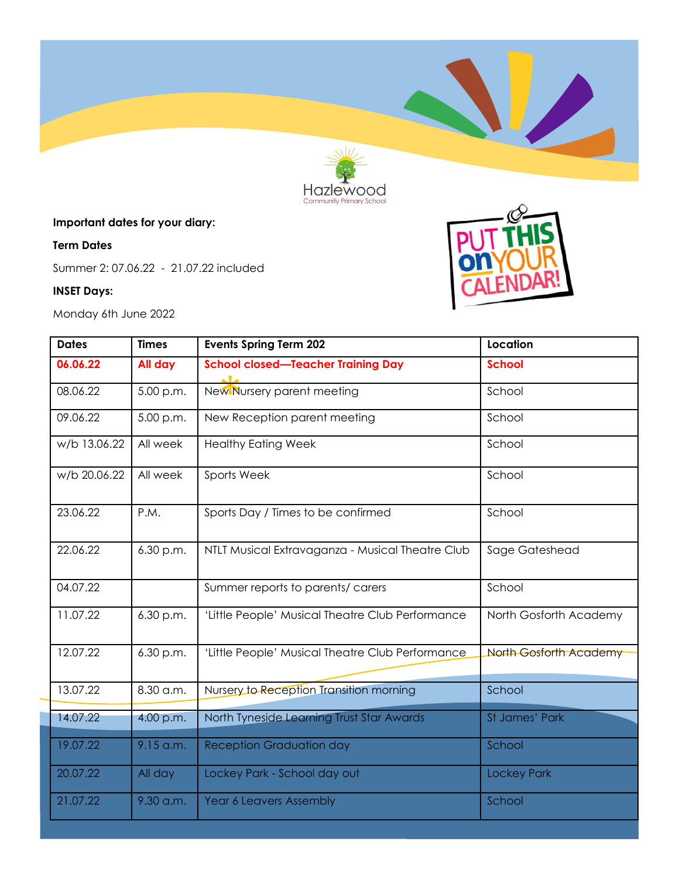

# **Important dates for your diary:**

### **Term Dates**

Summer 2: 07.06.22 - 21.07.22 included

## **INSET Days:**

Monday 6th June 2022



| <b>Dates</b> | <b>Times</b> | <b>Events Spring Term 202</b>                    | Location                      |  |
|--------------|--------------|--------------------------------------------------|-------------------------------|--|
| 06.06.22     | All day      | <b>School closed-Teacher Training Day</b>        | <b>School</b>                 |  |
| 08.06.22     | 5.00 p.m.    | New Nursery parent meeting                       | School                        |  |
| 09.06.22     | 5.00 p.m.    | New Reception parent meeting                     | School                        |  |
| w/b 13.06.22 | All week     | <b>Healthy Eating Week</b>                       | School                        |  |
| w/b 20.06.22 | All week     | Sports Week                                      | School                        |  |
| 23.06.22     | P.M.         | Sports Day / Times to be confirmed               | School                        |  |
| 22.06.22     | 6.30 p.m.    | NTLT Musical Extravaganza - Musical Theatre Club | Sage Gateshead                |  |
| 04.07.22     |              | Summer reports to parents/ carers                | School                        |  |
| 11.07.22     | 6.30 p.m.    | 'Little People' Musical Theatre Club Performance | North Gosforth Academy        |  |
| 12.07.22     | 6.30 p.m.    | 'Little People' Musical Theatre Club Performance | <b>North Gosforth Academy</b> |  |
| 13.07.22     | 8.30 a.m.    | Nursery to Reception Transition morning          | School                        |  |
| 14.07.22     | 4.00 p.m.    | North Tyneside Learning Trust Star Awards        | St James' Park                |  |
| 19.07.22     | $9.15$ a.m.  | <b>Reception Graduation day</b>                  | School                        |  |
| 20.07.22     | All day      | Lockey Park - School day out                     | <b>Lockey Park</b>            |  |
| 21.07.22     | 9.30 a.m.    | <b>Year 6 Leavers Assembly</b>                   | School                        |  |